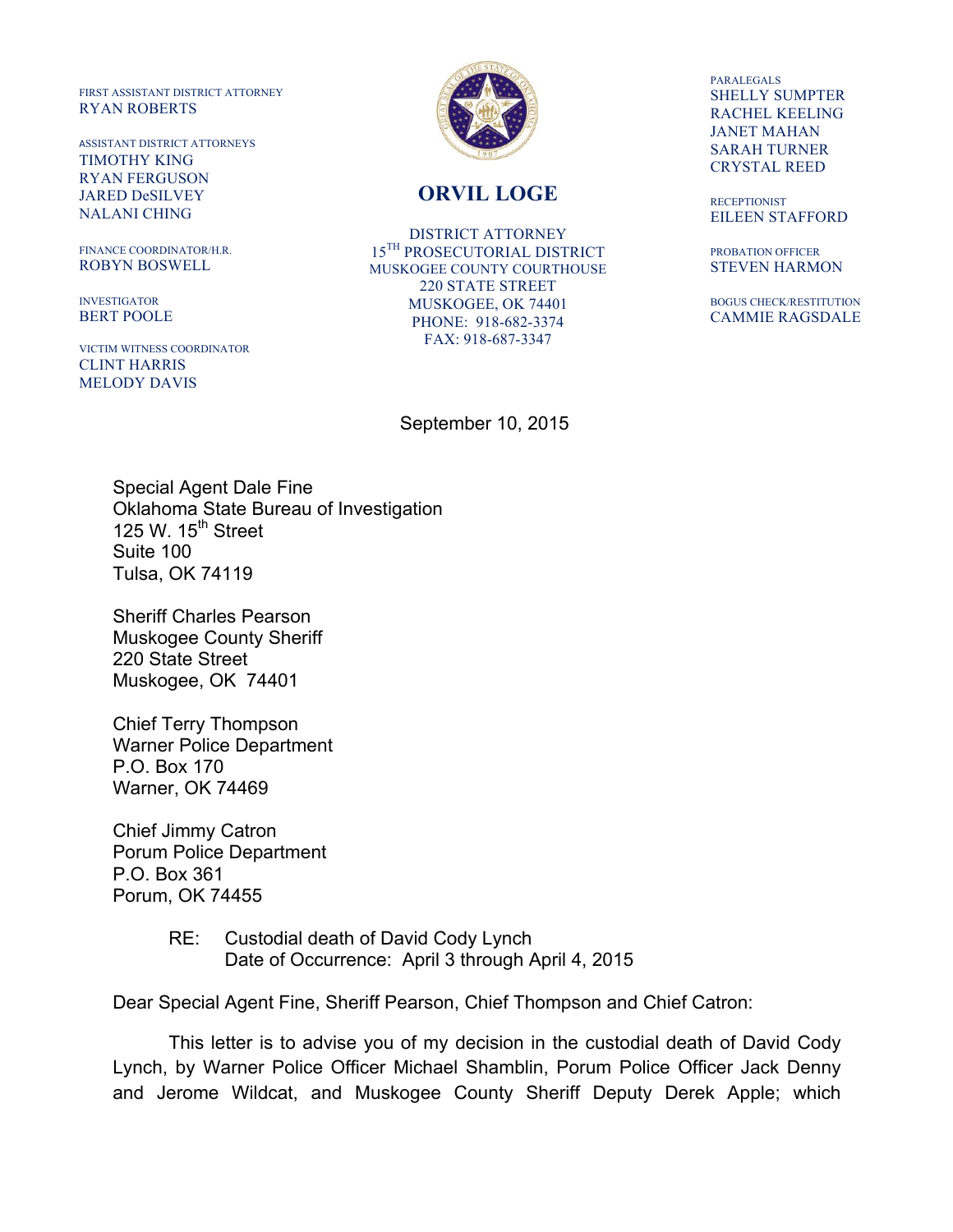FIRST ASSISTANT DISTRICT ATTORNEY RYAN ROBERTS

ASSISTANT DISTRICT ATTORNEYS TIMOTHY KING RYAN FERGUSON JARED DeSILVEY NALANI CHING

FINANCE COORDINATOR/H.R. ROBYN BOSWELL

INVESTIGATOR BERT POOLE

VICTIM WITNESS COORDINATOR CLINT HARRIS MELODY DAVIS



## **ORVIL LOGE**

DISTRICT ATTORNEY 15TH PROSECUTORIAL DISTRICT MUSKOGEE COUNTY COURTHOUSE 220 STATE STREET MUSKOGEE, OK 74401 PHONE: 918-682-3374 FAX: 918-687-3347

PARALEGALS SHELLY SUMPTER RACHEL KEELING JANET MAHAN SARAH TURNER CRYSTAL REED

**RECEPTIONIST** EILEEN STAFFORD

PROBATION OFFICER STEVEN HARMON

BOGUS CHECK/RESTITUTION CAMMIE RAGSDALE

September 10, 2015

Special Agent Dale Fine Oklahoma State Bureau of Investigation 125 W.  $15<sup>th</sup>$  Street Suite 100 Tulsa, OK 74119

Sheriff Charles Pearson Muskogee County Sheriff 220 State Street Muskogee, OK 74401

Chief Terry Thompson Warner Police Department P.O. Box 170 Warner, OK 74469

Chief Jimmy Catron Porum Police Department P.O. Box 361 Porum, OK 74455

> RE: Custodial death of David Cody Lynch Date of Occurrence: April 3 through April 4, 2015

Dear Special Agent Fine, Sheriff Pearson, Chief Thompson and Chief Catron:

This letter is to advise you of my decision in the custodial death of David Cody Lynch, by Warner Police Officer Michael Shamblin, Porum Police Officer Jack Denny and Jerome Wildcat, and Muskogee County Sheriff Deputy Derek Apple; which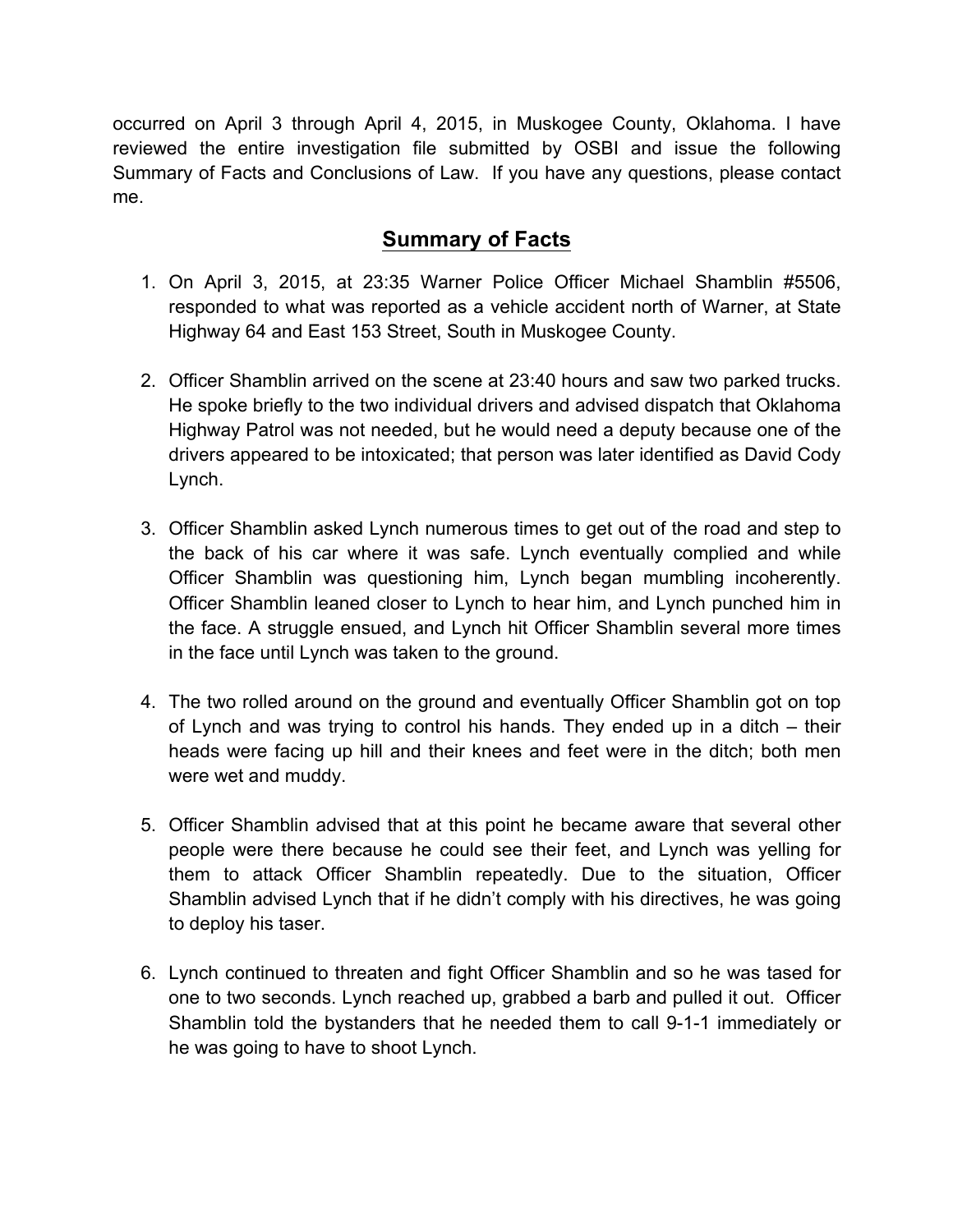occurred on April 3 through April 4, 2015, in Muskogee County, Oklahoma. I have reviewed the entire investigation file submitted by OSBI and issue the following Summary of Facts and Conclusions of Law. If you have any questions, please contact me.

## **Summary of Facts**

- 1. On April 3, 2015, at 23:35 Warner Police Officer Michael Shamblin #5506, responded to what was reported as a vehicle accident north of Warner, at State Highway 64 and East 153 Street, South in Muskogee County.
- 2. Officer Shamblin arrived on the scene at 23:40 hours and saw two parked trucks. He spoke briefly to the two individual drivers and advised dispatch that Oklahoma Highway Patrol was not needed, but he would need a deputy because one of the drivers appeared to be intoxicated; that person was later identified as David Cody Lynch.
- 3. Officer Shamblin asked Lynch numerous times to get out of the road and step to the back of his car where it was safe. Lynch eventually complied and while Officer Shamblin was questioning him, Lynch began mumbling incoherently. Officer Shamblin leaned closer to Lynch to hear him, and Lynch punched him in the face. A struggle ensued, and Lynch hit Officer Shamblin several more times in the face until Lynch was taken to the ground.
- 4. The two rolled around on the ground and eventually Officer Shamblin got on top of Lynch and was trying to control his hands. They ended up in a ditch – their heads were facing up hill and their knees and feet were in the ditch; both men were wet and muddy.
- 5. Officer Shamblin advised that at this point he became aware that several other people were there because he could see their feet, and Lynch was yelling for them to attack Officer Shamblin repeatedly. Due to the situation, Officer Shamblin advised Lynch that if he didn't comply with his directives, he was going to deploy his taser.
- 6. Lynch continued to threaten and fight Officer Shamblin and so he was tased for one to two seconds. Lynch reached up, grabbed a barb and pulled it out. Officer Shamblin told the bystanders that he needed them to call 9-1-1 immediately or he was going to have to shoot Lynch.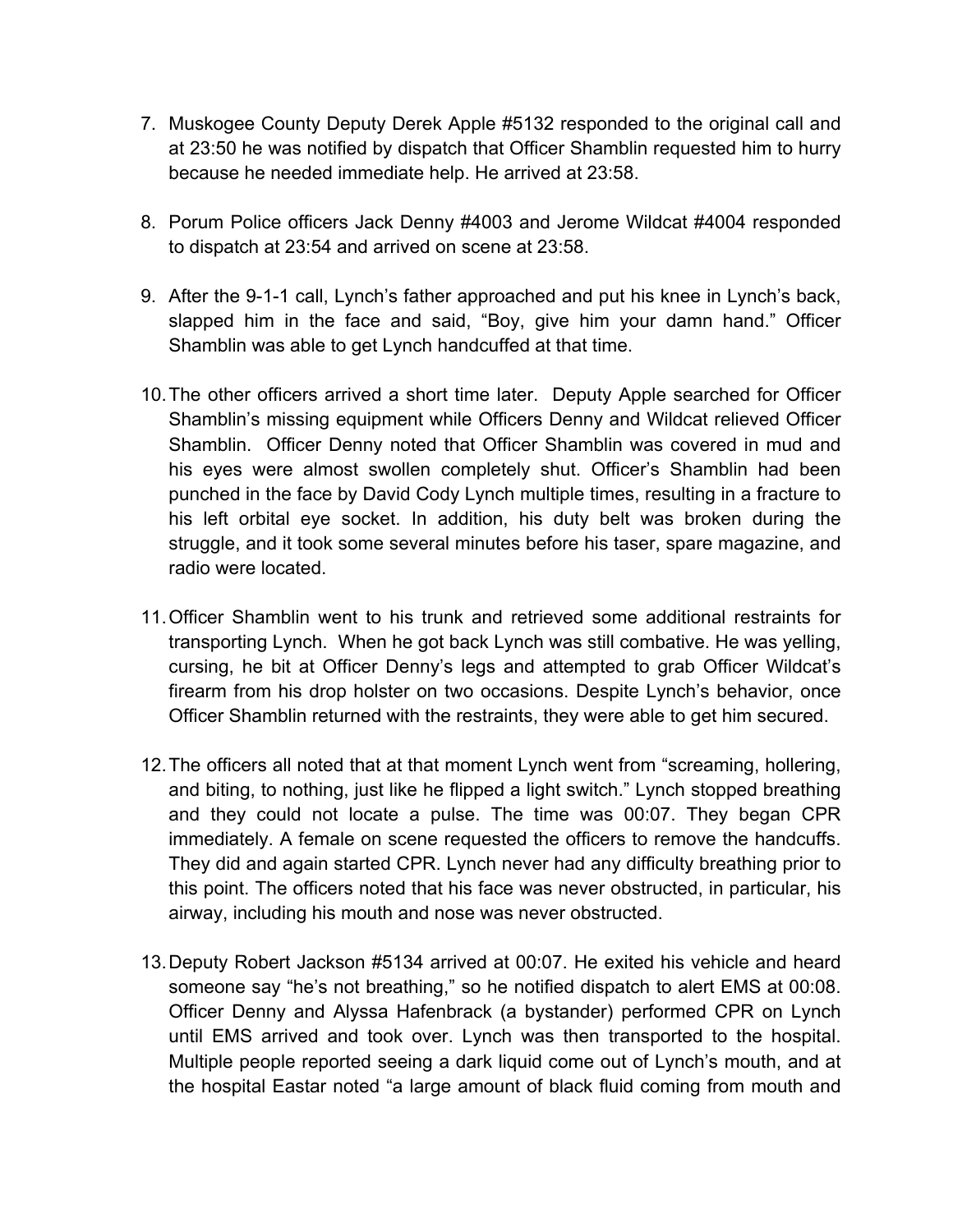- 7. Muskogee County Deputy Derek Apple #5132 responded to the original call and at 23:50 he was notified by dispatch that Officer Shamblin requested him to hurry because he needed immediate help. He arrived at 23:58.
- 8. Porum Police officers Jack Denny #4003 and Jerome Wildcat #4004 responded to dispatch at 23:54 and arrived on scene at 23:58.
- 9. After the 9-1-1 call, Lynch's father approached and put his knee in Lynch's back, slapped him in the face and said, "Boy, give him your damn hand." Officer Shamblin was able to get Lynch handcuffed at that time.
- 10.The other officers arrived a short time later. Deputy Apple searched for Officer Shamblin's missing equipment while Officers Denny and Wildcat relieved Officer Shamblin. Officer Denny noted that Officer Shamblin was covered in mud and his eyes were almost swollen completely shut. Officer's Shamblin had been punched in the face by David Cody Lynch multiple times, resulting in a fracture to his left orbital eye socket. In addition, his duty belt was broken during the struggle, and it took some several minutes before his taser, spare magazine, and radio were located.
- 11.Officer Shamblin went to his trunk and retrieved some additional restraints for transporting Lynch. When he got back Lynch was still combative. He was yelling, cursing, he bit at Officer Denny's legs and attempted to grab Officer Wildcat's firearm from his drop holster on two occasions. Despite Lynch's behavior, once Officer Shamblin returned with the restraints, they were able to get him secured.
- 12.The officers all noted that at that moment Lynch went from "screaming, hollering, and biting, to nothing, just like he flipped a light switch." Lynch stopped breathing and they could not locate a pulse. The time was 00:07. They began CPR immediately. A female on scene requested the officers to remove the handcuffs. They did and again started CPR. Lynch never had any difficulty breathing prior to this point. The officers noted that his face was never obstructed, in particular, his airway, including his mouth and nose was never obstructed.
- 13.Deputy Robert Jackson #5134 arrived at 00:07. He exited his vehicle and heard someone say "he's not breathing," so he notified dispatch to alert EMS at 00:08. Officer Denny and Alyssa Hafenbrack (a bystander) performed CPR on Lynch until EMS arrived and took over. Lynch was then transported to the hospital. Multiple people reported seeing a dark liquid come out of Lynch's mouth, and at the hospital Eastar noted "a large amount of black fluid coming from mouth and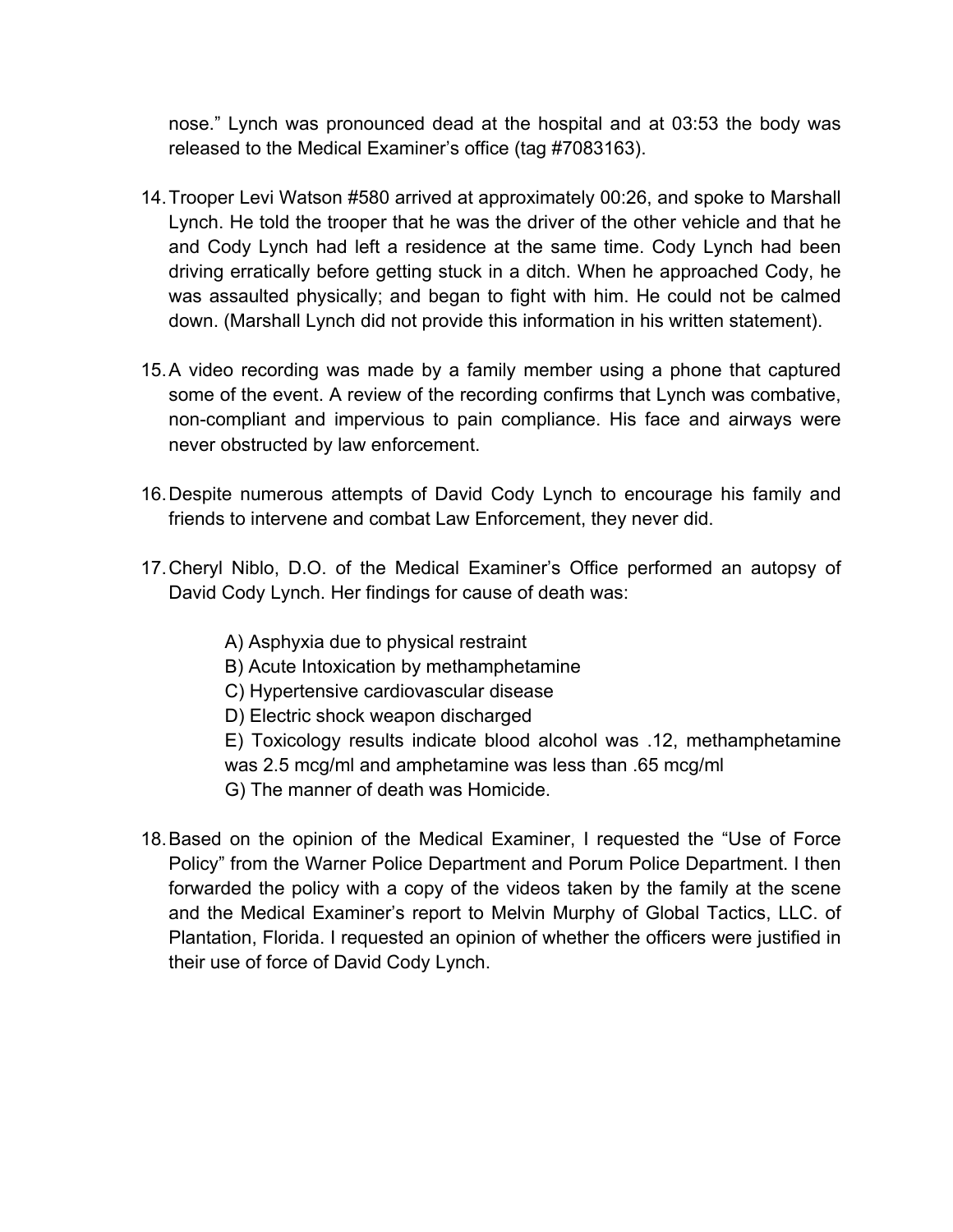nose." Lynch was pronounced dead at the hospital and at 03:53 the body was released to the Medical Examiner's office (tag #7083163).

- 14.Trooper Levi Watson #580 arrived at approximately 00:26, and spoke to Marshall Lynch. He told the trooper that he was the driver of the other vehicle and that he and Cody Lynch had left a residence at the same time. Cody Lynch had been driving erratically before getting stuck in a ditch. When he approached Cody, he was assaulted physically; and began to fight with him. He could not be calmed down. (Marshall Lynch did not provide this information in his written statement).
- 15.A video recording was made by a family member using a phone that captured some of the event. A review of the recording confirms that Lynch was combative, non-compliant and impervious to pain compliance. His face and airways were never obstructed by law enforcement.
- 16.Despite numerous attempts of David Cody Lynch to encourage his family and friends to intervene and combat Law Enforcement, they never did.
- 17.Cheryl Niblo, D.O. of the Medical Examiner's Office performed an autopsy of David Cody Lynch. Her findings for cause of death was:
	- A) Asphyxia due to physical restraint
	- B) Acute Intoxication by methamphetamine
	- C) Hypertensive cardiovascular disease
	- D) Electric shock weapon discharged
	- E) Toxicology results indicate blood alcohol was .12, methamphetamine was 2.5 mcg/ml and amphetamine was less than .65 mcg/ml
	- G) The manner of death was Homicide.
- 18.Based on the opinion of the Medical Examiner, I requested the "Use of Force Policy" from the Warner Police Department and Porum Police Department. I then forwarded the policy with a copy of the videos taken by the family at the scene and the Medical Examiner's report to Melvin Murphy of Global Tactics, LLC. of Plantation, Florida. I requested an opinion of whether the officers were justified in their use of force of David Cody Lynch.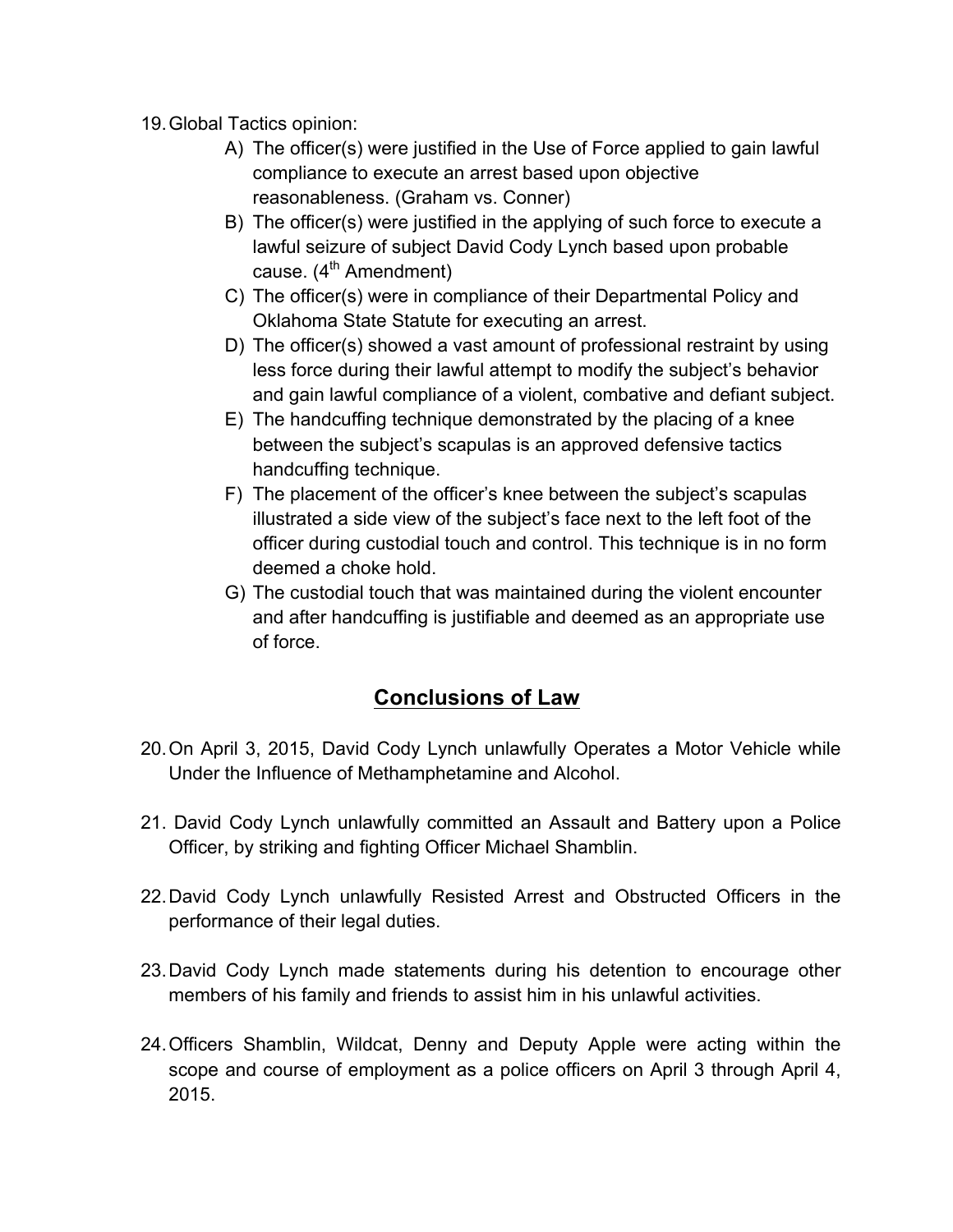19.Global Tactics opinion:

- A) The officer(s) were justified in the Use of Force applied to gain lawful compliance to execute an arrest based upon objective reasonableness. (Graham vs. Conner)
- B) The officer(s) were justified in the applying of such force to execute a lawful seizure of subject David Cody Lynch based upon probable cause.  $(4^{th}$  Amendment)
- C) The officer(s) were in compliance of their Departmental Policy and Oklahoma State Statute for executing an arrest.
- D) The officer(s) showed a vast amount of professional restraint by using less force during their lawful attempt to modify the subject's behavior and gain lawful compliance of a violent, combative and defiant subject.
- E) The handcuffing technique demonstrated by the placing of a knee between the subject's scapulas is an approved defensive tactics handcuffing technique.
- F) The placement of the officer's knee between the subject's scapulas illustrated a side view of the subject's face next to the left foot of the officer during custodial touch and control. This technique is in no form deemed a choke hold.
- G) The custodial touch that was maintained during the violent encounter and after handcuffing is justifiable and deemed as an appropriate use of force.

## **Conclusions of Law**

- 20.On April 3, 2015, David Cody Lynch unlawfully Operates a Motor Vehicle while Under the Influence of Methamphetamine and Alcohol.
- 21. David Cody Lynch unlawfully committed an Assault and Battery upon a Police Officer, by striking and fighting Officer Michael Shamblin.
- 22.David Cody Lynch unlawfully Resisted Arrest and Obstructed Officers in the performance of their legal duties.
- 23.David Cody Lynch made statements during his detention to encourage other members of his family and friends to assist him in his unlawful activities.
- 24.Officers Shamblin, Wildcat, Denny and Deputy Apple were acting within the scope and course of employment as a police officers on April 3 through April 4, 2015.